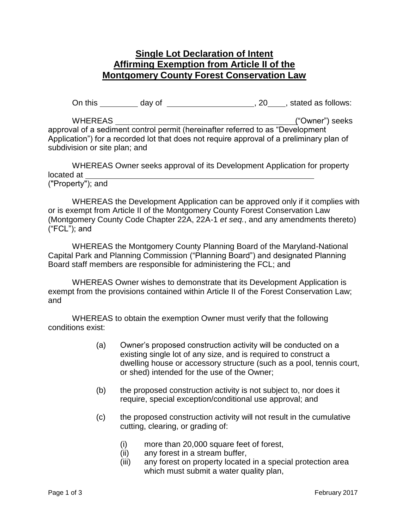## **Single Lot Declaration of Intent Affirming Exemption from Article II of the Montgomery County Forest Conservation Law**

On this day of the contract of the stated as follows:

WHEREAS ("Owner") seeks approval of a sediment control permit (hereinafter referred to as "Development Application") for a recorded lot that does not require approval of a preliminary plan of subdivision or site plan; and

WHEREAS Owner seeks approval of its Development Application for property located at ("Property"); and

WHEREAS the Development Application can be approved only if it complies with or is exempt from Article II of the Montgomery County Forest Conservation Law (Montgomery County Code Chapter 22A, 22A-1 *et seq.*, and any amendments thereto) ("FCL"); and

WHEREAS the Montgomery County Planning Board of the Maryland-National Capital Park and Planning Commission ("Planning Board") and designated Planning Board staff members are responsible for administering the FCL; and

WHEREAS Owner wishes to demonstrate that its Development Application is exempt from the provisions contained within Article II of the Forest Conservation Law; and

WHEREAS to obtain the exemption Owner must verify that the following conditions exist:

- (a) Owner's proposed construction activity will be conducted on a existing single lot of any size, and is required to construct a dwelling house or accessory structure (such as a pool, tennis court, or shed) intended for the use of the Owner;
- (b) the proposed construction activity is not subject to, nor does it require, special exception/conditional use approval; and
- (c) the proposed construction activity will not result in the cumulative cutting, clearing, or grading of:
	- (i) more than 20,000 square feet of forest,
	- (ii) any forest in a stream buffer,
	- (iii) any forest on property located in a special protection area which must submit a water quality plan,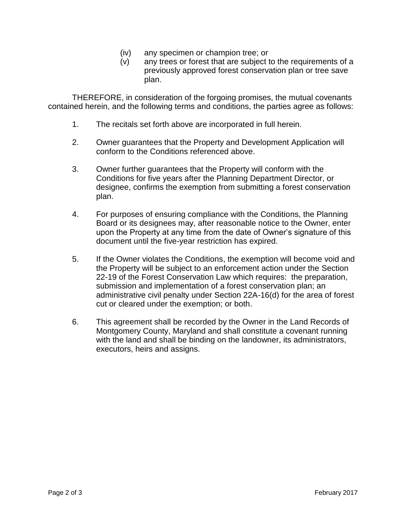- (iv) any specimen or champion tree; or
- (v) any trees or forest that are subject to the requirements of a previously approved forest conservation plan or tree save plan.

THEREFORE, in consideration of the forgoing promises, the mutual covenants contained herein, and the following terms and conditions, the parties agree as follows:

- 1. The recitals set forth above are incorporated in full herein.
- 2. Owner guarantees that the Property and Development Application will conform to the Conditions referenced above.
- 3. Owner further guarantees that the Property will conform with the Conditions for five years after the Planning Department Director, or designee, confirms the exemption from submitting a forest conservation plan.
- 4. For purposes of ensuring compliance with the Conditions, the Planning Board or its designees may, after reasonable notice to the Owner, enter upon the Property at any time from the date of Owner's signature of this document until the five-year restriction has expired.
- 5. If the Owner violates the Conditions, the exemption will become void and the Property will be subject to an enforcement action under the Section 22-19 of the Forest Conservation Law which requires: the preparation, submission and implementation of a forest conservation plan; an administrative civil penalty under Section 22A-16(d) for the area of forest cut or cleared under the exemption; or both.
- 6. This agreement shall be recorded by the Owner in the Land Records of Montgomery County, Maryland and shall constitute a covenant running with the land and shall be binding on the landowner, its administrators, executors, heirs and assigns.